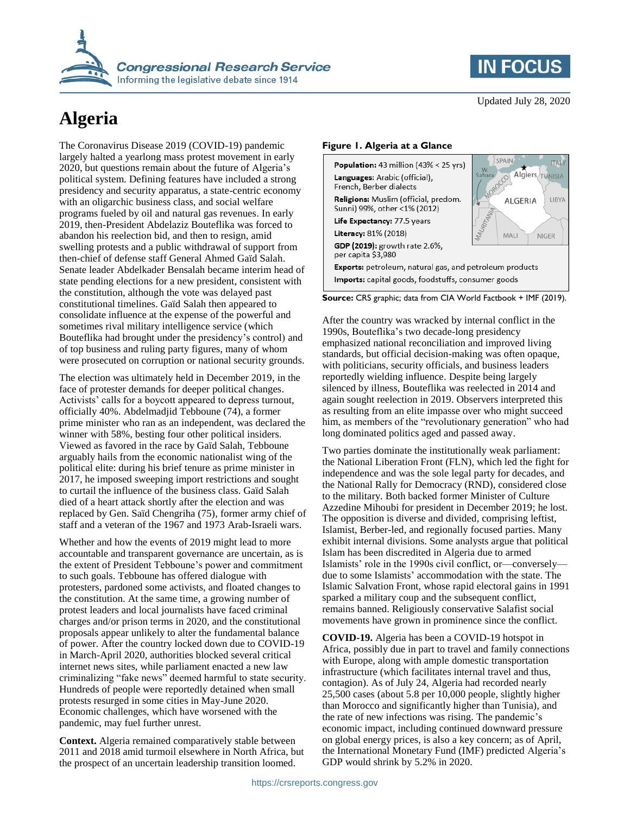

# **Algeria**

The Coronavirus Disease 2019 (COVID-19) pandemic largely halted a yearlong mass protest movement in early 2020, but questions remain about the future of Algeria's political system. Defining features have included a strong presidency and security apparatus, a state-centric economy with an oligarchic business class, and social welfare programs fueled by oil and natural gas revenues. In early 2019, then-President Abdelaziz Bouteflika was forced to abandon his reelection bid, and then to resign, amid swelling protests and a public withdrawal of support from then-chief of defense staff General Ahmed Gaïd Salah. Senate leader Abdelkader Bensalah became interim head of state pending elections for a new president, consistent with the constitution, although the vote was delayed past constitutional timelines. Gaïd Salah then appeared to consolidate influence at the expense of the powerful and sometimes rival military intelligence service (which Bouteflika had brought under the presidency's control) and of top business and ruling party figures, many of whom were prosecuted on corruption or national security grounds.

The election was ultimately held in December 2019, in the face of protester demands for deeper political changes. Activists' calls for a boycott appeared to depress turnout, officially 40%. Abdelmadjid Tebboune (74), a former prime minister who ran as an independent, was declared the winner with 58%, besting four other political insiders. Viewed as favored in the race by Gaïd Salah, Tebboune arguably hails from the economic nationalist wing of the political elite: during his brief tenure as prime minister in 2017, he imposed sweeping import restrictions and sought to curtail the influence of the business class. Gaïd Salah died of a heart attack shortly after the election and was replaced by Gen. Saïd Chengriha (75), former army chief of staff and a veteran of the 1967 and 1973 Arab-Israeli wars.

Whether and how the events of 2019 might lead to more accountable and transparent governance are uncertain, as is the extent of President Tebboune's power and commitment to such goals. Tebboune has offered dialogue with protesters, pardoned some activists, and floated changes to the constitution. At the same time, a growing number of protest leaders and local journalists have faced criminal charges and/or prison terms in 2020, and the constitutional proposals appear unlikely to alter the fundamental balance of power. After the country locked down due to COVID-19 in March-April 2020, authorities blocked several critical internet news sites, while parliament enacted a new law criminalizing "fake news" deemed harmful to state security. Hundreds of people were reportedly detained when small protests resurged in some cities in May-June 2020. Economic challenges, which have worsened with the pandemic, may fuel further unrest.

**Context.** Algeria remained comparatively stable between 2011 and 2018 amid turmoil elsewhere in North Africa, but the prospect of an uncertain leadership transition loomed.

Updated July 28, 2020

**IN FOCUS** 

#### **Figure 1. Algeria at a Glance**



**Source:** CRS graphic; data from CIA World Factbook + IMF (2019).

After the country was wracked by internal conflict in the 1990s, Bouteflika's two decade-long presidency emphasized national reconciliation and improved living standards, but official decision-making was often opaque, with politicians, security officials, and business leaders reportedly wielding influence. Despite being largely silenced by illness, Bouteflika was reelected in 2014 and again sought reelection in 2019. Observers interpreted this as resulting from an elite impasse over who might succeed him, as members of the "revolutionary generation" who had long dominated politics aged and passed away.

Two parties dominate the institutionally weak parliament: the National Liberation Front (FLN), which led the fight for independence and was the sole legal party for decades, and the National Rally for Democracy (RND), considered close to the military. Both backed former Minister of Culture Azzedine Mihoubi for president in December 2019; he lost. The opposition is diverse and divided, comprising leftist, Islamist, Berber-led, and regionally focused parties. Many exhibit internal divisions. Some analysts argue that political Islam has been discredited in Algeria due to armed Islamists' role in the 1990s civil conflict, or—conversely due to some Islamists' accommodation with the state. The Islamic Salvation Front, whose rapid electoral gains in 1991 sparked a military coup and the subsequent conflict, remains banned. Religiously conservative Salafist social movements have grown in prominence since the conflict.

**COVID-19.** Algeria has been a COVID-19 hotspot in Africa, possibly due in part to travel and family connections with Europe, along with ample domestic transportation infrastructure (which facilitates internal travel and thus, contagion). As of July 24, Algeria had recorded nearly 25,500 cases (about 5.8 per 10,000 people, slightly higher than Morocco and significantly higher than Tunisia), and the rate of new infections was rising. The pandemic's economic impact, including continued downward pressure on global energy prices, is also a key concern; as of April, the International Monetary Fund (IMF) predicted Algeria's GDP would shrink by 5.2% in 2020.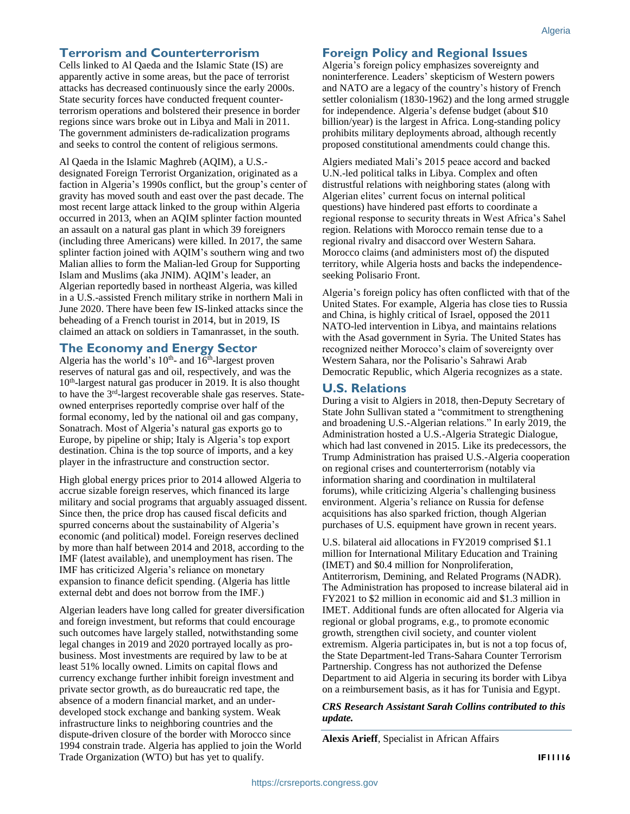## **Terrorism and Counterterrorism**

Cells linked to Al Qaeda and the Islamic State (IS) are apparently active in some areas, but the pace of terrorist attacks has decreased continuously since the early 2000s. State security forces have conducted frequent counterterrorism operations and bolstered their presence in border regions since wars broke out in Libya and Mali in 2011. The government administers de-radicalization programs and seeks to control the content of religious sermons.

Al Qaeda in the Islamic Maghreb (AQIM), a U.S. designated Foreign Terrorist Organization, originated as a faction in Algeria's 1990s conflict, but the group's center of gravity has moved south and east over the past decade. The most recent large attack linked to the group within Algeria occurred in 2013, when an AQIM splinter faction mounted an assault on a natural gas plant in which 39 foreigners (including three Americans) were killed. In 2017, the same splinter faction joined with AQIM's southern wing and two Malian allies to form the Malian-led Group for Supporting Islam and Muslims (aka JNIM). AQIM's leader, an Algerian reportedly based in northeast Algeria, was killed in a U.S.-assisted French military strike in northern Mali in June 2020. There have been few IS-linked attacks since the beheading of a French tourist in 2014, but in 2019, IS claimed an attack on soldiers in Tamanrasset, in the south.

# **The Economy and Energy Sector**

Algeria has the world's  $10^{th}$ - and  $16^{th}$ -largest proven reserves of natural gas and oil, respectively, and was the 10<sup>th</sup>-largest natural gas producer in 2019. It is also thought to have the 3<sup>rd</sup>-largest recoverable shale gas reserves. Stateowned enterprises reportedly comprise over half of the formal economy, led by the national oil and gas company, Sonatrach. Most of Algeria's natural gas exports go to Europe, by pipeline or ship; Italy is Algeria's top export destination. China is the top source of imports, and a key player in the infrastructure and construction sector.

High global energy prices prior to 2014 allowed Algeria to accrue sizable foreign reserves, which financed its large military and social programs that arguably assuaged dissent. Since then, the price drop has caused fiscal deficits and spurred concerns about the sustainability of Algeria's economic (and political) model. Foreign reserves declined by more than half between 2014 and 2018, according to the IMF (latest available), and unemployment has risen. The IMF has criticized Algeria's reliance on monetary expansion to finance deficit spending. (Algeria has little external debt and does not borrow from the IMF.)

Algerian leaders have long called for greater diversification and foreign investment, but reforms that could encourage such outcomes have largely stalled, notwithstanding some legal changes in 2019 and 2020 portrayed locally as probusiness. Most investments are required by law to be at least 51% locally owned. Limits on capital flows and currency exchange further inhibit foreign investment and private sector growth, as do bureaucratic red tape, the absence of a modern financial market, and an underdeveloped stock exchange and banking system. Weak infrastructure links to neighboring countries and the dispute-driven closure of the border with Morocco since 1994 constrain trade. Algeria has applied to join the World Trade Organization (WTO) but has yet to qualify.

# **Foreign Policy and Regional Issues**

Algeria's foreign policy emphasizes sovereignty and noninterference. Leaders' skepticism of Western powers and NATO are a legacy of the country's history of French settler colonialism (1830-1962) and the long armed struggle for independence. Algeria's defense budget (about \$10 billion/year) is the largest in Africa. Long-standing policy prohibits military deployments abroad, although recently proposed constitutional amendments could change this.

Algiers mediated Mali's 2015 peace accord and backed U.N.-led political talks in Libya. Complex and often distrustful relations with neighboring states (along with Algerian elites' current focus on internal political questions) have hindered past efforts to coordinate a regional response to security threats in West Africa's Sahel region. Relations with Morocco remain tense due to a regional rivalry and disaccord over Western Sahara. Morocco claims (and administers most of) the disputed territory, while Algeria hosts and backs the independenceseeking Polisario Front.

Algeria's foreign policy has often conflicted with that of the United States. For example, Algeria has close ties to Russia and China, is highly critical of Israel, opposed the 2011 NATO-led intervention in Libya, and maintains relations with the Asad government in Syria. The United States has recognized neither Morocco's claim of sovereignty over Western Sahara, nor the Polisario's Sahrawi Arab Democratic Republic, which Algeria recognizes as a state.

### **U.S. Relations**

During a visit to Algiers in 2018, then-Deputy Secretary of State John Sullivan stated a "commitment to strengthening and broadening U.S.-Algerian relations." In early 2019, the Administration hosted a U.S.-Algeria Strategic Dialogue, which had last convened in 2015. Like its predecessors, the Trump Administration has praised U.S.-Algeria cooperation on regional crises and counterterrorism (notably via information sharing and coordination in multilateral forums), while criticizing Algeria's challenging business environment. Algeria's reliance on Russia for defense acquisitions has also sparked friction, though Algerian purchases of U.S. equipment have grown in recent years.

U.S. bilateral aid allocations in FY2019 comprised \$1.1 million for International Military Education and Training (IMET) and \$0.4 million for Nonproliferation, Antiterrorism, Demining, and Related Programs (NADR). The Administration has proposed to increase bilateral aid in FY2021 to \$2 million in economic aid and \$1.3 million in IMET. Additional funds are often allocated for Algeria via regional or global programs, e.g., to promote economic growth, strengthen civil society, and counter violent extremism. Algeria participates in, but is not a top focus of, the State Department-led Trans-Sahara Counter Terrorism Partnership. Congress has not authorized the Defense Department to aid Algeria in securing its border with Libya on a reimbursement basis, as it has for Tunisia and Egypt.

#### *CRS Research Assistant Sarah Collins contributed to this update.*

**Alexis Arieff**, Specialist in African Affairs